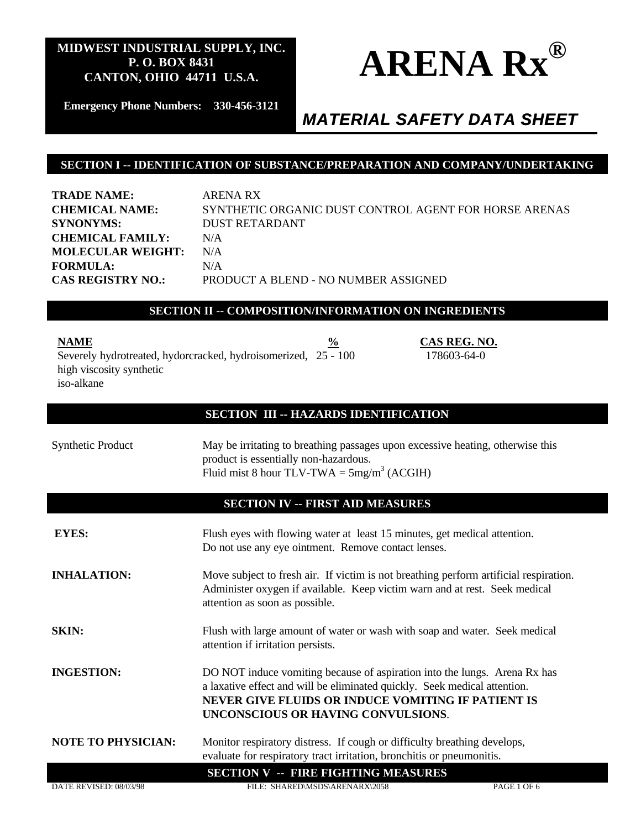

**Emergency Phone Numbers: 330-456-3121**

# *MATERIAL SAFETY DATA SHEET*

178603-64-0

### **SECTION I -- IDENTIFICATION OF SUBSTANCE/PREPARATION AND COMPANY/UNDERTAKING**

**TRADE NAME:** ARENA RX **CHEMICAL NAME:** SYNTHETIC ORGANIC DUST CONTROL AGENT FOR HORSE ARENAS **SYNONYMS:** DUST RETARDANT **CHEMICAL FAMILY:** N/A **MOLECULAR WEIGHT:** N/A **FORMULA:** N/A **CAS REGISTRY NO.:** PRODUCT A BLEND - NO NUMBER ASSIGNED

### **SECTION II -- COMPOSITION/INFORMATION ON INGREDIENTS**

**NAME** 8 **CAS REG. NO.** Severely hydrotreated, hydorcracked, hydroisomerized, 25 - 100 high viscosity synthetic iso-alkane

### **SECTION III -- HAZARDS IDENTIFICATION**

Synthetic Product May be irritating to breathing passages upon excessive heating, otherwise this product is essentially non-hazardous. Fluid mist 8 hour TLV-TWA =  $5mg/m<sup>3</sup>$  (ACGIH)

### **SECTION IV -- FIRST AID MEASURES**

| <b>EYES:</b>              | Flush eyes with flowing water at least 15 minutes, get medical attention.<br>Do not use any eye ointment. Remove contact lenses.                                                                                                                   |             |
|---------------------------|----------------------------------------------------------------------------------------------------------------------------------------------------------------------------------------------------------------------------------------------------|-------------|
| <b>INHALATION:</b>        | Move subject to fresh air. If victim is not breathing perform artificial respiration.<br>Administer oxygen if available. Keep victim warn and at rest. Seek medical<br>attention as soon as possible.                                              |             |
| <b>SKIN:</b>              | Flush with large amount of water or wash with soap and water. Seek medical<br>attention if irritation persists.                                                                                                                                    |             |
| <b>INGESTION:</b>         | DO NOT induce vomiting because of aspiration into the lungs. Arena Rx has<br>a laxative effect and will be eliminated quickly. Seek medical attention.<br>NEVER GIVE FLUIDS OR INDUCE VOMITING IF PATIENT IS<br>UNCONSCIOUS OR HAVING CONVULSIONS. |             |
| <b>NOTE TO PHYSICIAN:</b> | Monitor respiratory distress. If cough or difficulty breathing develops,<br>evaluate for respiratory tract irritation, bronchitis or pneumonitis.                                                                                                  |             |
|                           | <b>SECTION V -- FIRE FIGHTING MEASURES</b>                                                                                                                                                                                                         |             |
| DATE REVISED: 08/03/98    | FILE: SHARED\MSDS\ARENARX\2058                                                                                                                                                                                                                     | PAGE 1 OF 6 |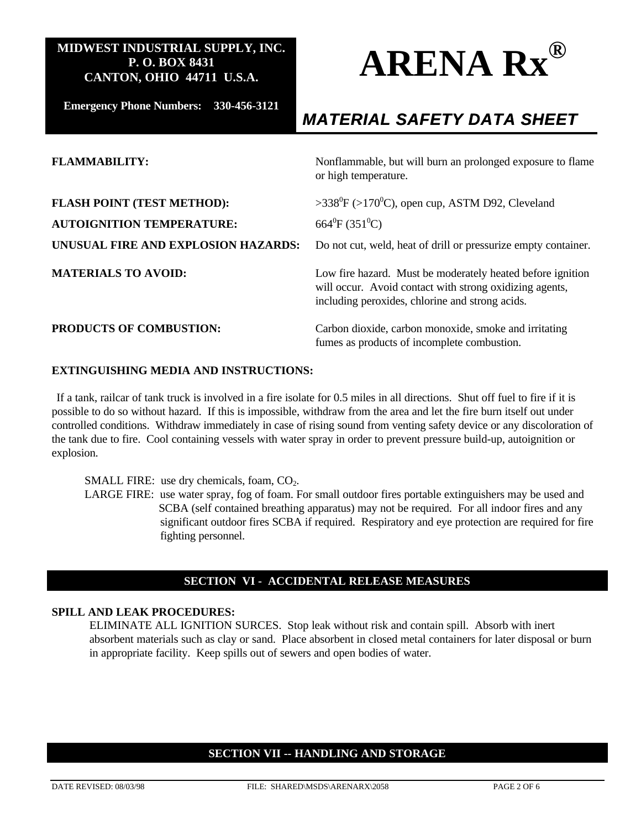

**Emergency Phone Numbers: 330-456-3121**

# *MATERIAL SAFETY DATA SHEET*

| <b>FLAMMABILITY:</b>                                                  | Nonflammable, but will burn an prolonged exposure to flame<br>or high temperature.                                                                                       |
|-----------------------------------------------------------------------|--------------------------------------------------------------------------------------------------------------------------------------------------------------------------|
| <b>FLASH POINT (TEST METHOD):</b><br><b>AUTOIGNITION TEMPERATURE:</b> | >338 <sup>0</sup> F (>170 <sup>0</sup> C), open cup, ASTM D92, Cleveland<br>664 <sup>0</sup> F (351 <sup>0</sup> C)                                                      |
| UNUSUAL FIRE AND EXPLOSION HAZARDS:                                   | Do not cut, weld, heat of drill or pressurize empty container.                                                                                                           |
| <b>MATERIALS TO AVOID:</b>                                            | Low fire hazard. Must be moderately heated before ignition<br>will occur. Avoid contact with strong oxidizing agents,<br>including peroxides, chlorine and strong acids. |
| <b>PRODUCTS OF COMBUSTION:</b>                                        | Carbon dioxide, carbon monoxide, smoke and irritating<br>fumes as products of incomplete combustion.                                                                     |

#### **EXTINGUISHING MEDIA AND INSTRUCTIONS:**

If a tank, railcar of tank truck is involved in a fire isolate for 0.5 miles in all directions. Shut off fuel to fire if it is possible to do so without hazard. If this is impossible, withdraw from the area and let the fire burn itself out under controlled conditions. Withdraw immediately in case of rising sound from venting safety device or any discoloration of the tank due to fire. Cool containing vessels with water spray in order to prevent pressure build-up, autoignition or explosion.

SMALL FIRE: use dry chemicals, foam,  $CO<sub>2</sub>$ .

LARGE FIRE: use water spray, fog of foam. For small outdoor fires portable extinguishers may be used and SCBA (self contained breathing apparatus) may not be required. For all indoor fires and any significant outdoor fires SCBA if required. Respiratory and eye protection are required for fire fighting personnel.

### **SECTION VI - ACCIDENTAL RELEASE MEASURES**

### **SPILL AND LEAK PROCEDURES:**

ELIMINATE ALL IGNITION SURCES. Stop leak without risk and contain spill. Absorb with inert absorbent materials such as clay or sand. Place absorbent in closed metal containers for later disposal or burn in appropriate facility. Keep spills out of sewers and open bodies of water.

### **SECTION VII -- HANDLING AND STORAGE**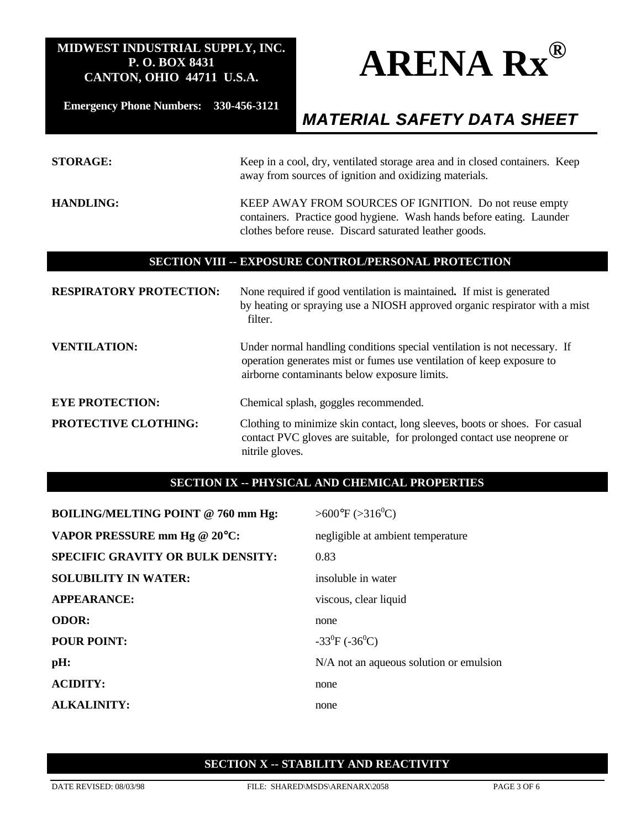

**Emergency Phone Numbers: 330-456-3121**

# *MATERIAL SAFETY DATA SHEET*

| <b>STORAGE:</b>                                      | Keep in a cool, dry, ventilated storage area and in closed containers. Keep<br>away from sources of ignition and oxidizing materials.                                                              |  |
|------------------------------------------------------|----------------------------------------------------------------------------------------------------------------------------------------------------------------------------------------------------|--|
| <b>HANDLING:</b>                                     | KEEP AWAY FROM SOURCES OF IGNITION. Do not reuse empty<br>containers. Practice good hygiene. Wash hands before eating. Launder<br>clothes before reuse. Discard saturated leather goods.           |  |
| SECTION VIII -- EXPOSURE CONTROL/PERSONAL PROTECTION |                                                                                                                                                                                                    |  |
| <b>RESPIRATORY PROTECTION:</b>                       | None required if good ventilation is maintained. If mist is generated<br>by heating or spraying use a NIOSH approved organic respirator with a mist<br>filter.                                     |  |
| <b>VENTILATION:</b>                                  | Under normal handling conditions special ventilation is not necessary. If<br>operation generates mist or fumes use ventilation of keep exposure to<br>airborne contaminants below exposure limits. |  |
| <b>EYE PROTECTION:</b>                               | Chemical splash, goggles recommended.                                                                                                                                                              |  |

**PROTECTIVE CLOTHING:** Clothing to minimize skin contact, long sleeves, boots or shoes. For casual contact PVC gloves are suitable, for prolonged contact use neoprene or nitrile gloves.

# **SECTION IX -- PHYSICAL AND CHEMICAL PROPERTIES**

| <b>BOILING/MELTING POINT @ 760 mm Hg:</b> | $>600^{\circ}F (>316^{\circ}C)$         |
|-------------------------------------------|-----------------------------------------|
| VAPOR PRESSURE mm Hg @ 20°C:              | negligible at ambient temperature       |
| <b>SPECIFIC GRAVITY OR BULK DENSITY:</b>  | 0.83                                    |
| <b>SOLUBILITY IN WATER:</b>               | insoluble in water                      |
| <b>APPEARANCE:</b>                        | viscous, clear liquid                   |
| <b>ODOR:</b>                              | none                                    |
| <b>POUR POINT:</b>                        | $-33^{0}F(-36^{0}C)$                    |
| pH:                                       | N/A not an aqueous solution or emulsion |
| <b>ACIDITY:</b>                           | none                                    |
| <b>ALKALINITY:</b>                        | none                                    |

### **SECTION X -- STABILITY AND REACTIVITY**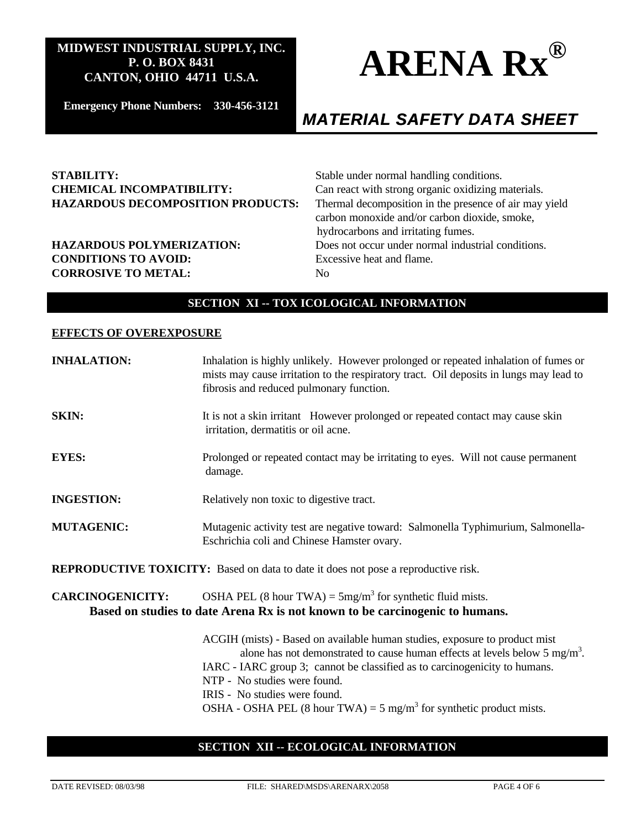

**Emergency Phone Numbers: 330-456-3121**

# *MATERIAL SAFETY DATA SHEET*

### **STABILITY:** Stable under normal handling conditions. **CHEMICAL INCOMPATIBILITY:** Can react with strong organic oxidizing materials. **HAZARDOUS DECOMPOSITION PRODUCTS:** Thermal decomposition in the presence of air may yield

**CONDITIONS TO AVOID:** Excessive heat and flame. **CORROSIVE TO METAL:** No

carbon monoxide and/or carbon dioxide, smoke, hydrocarbons and irritating fumes. **HAZARDOUS POLYMERIZATION:** Does not occur under normal industrial conditions.

# **SECTION XI -- TOX ICOLOGICAL INFORMATION**

#### **EFFECTS OF OVEREXPOSURE**

| <b>INHALATION:</b>                                                                        | Inhalation is highly unlikely. However prolonged or repeated inhalation of fumes or<br>mists may cause irritation to the respiratory tract. Oil deposits in lungs may lead to<br>fibrosis and reduced pulmonary function. |
|-------------------------------------------------------------------------------------------|---------------------------------------------------------------------------------------------------------------------------------------------------------------------------------------------------------------------------|
| <b>SKIN:</b>                                                                              | It is not a skin irritant However prolonged or repeated contact may cause skin<br>irritation, dermatitis or oil acne.                                                                                                     |
| <b>EYES:</b>                                                                              | Prolonged or repeated contact may be irritating to eyes. Will not cause permanent<br>damage.                                                                                                                              |
| <b>INGESTION:</b>                                                                         | Relatively non toxic to digestive tract.                                                                                                                                                                                  |
| <b>MUTAGENIC:</b>                                                                         | Mutagenic activity test are negative toward: Salmonella Typhimurium, Salmonella-<br>Eschrichia coli and Chinese Hamster ovary.                                                                                            |
| <b>REPRODUCTIVE TOXICITY:</b> Based on data to date it does not pose a reproductive risk. |                                                                                                                                                                                                                           |
| <b>CARCINOGENICITY:</b>                                                                   | OSHA PEL (8 hour TWA) = $5mg/m3$ for synthetic fluid mists.<br>Based on studies to date Arena Rx is not known to be carcinogenic to humans.                                                                               |
|                                                                                           | ACGIH (mists) - Based on available human studies, exposure to product mist<br>alone has not demonstrated to cause human effects at levels below $5 \text{ mg/m}^3$ .                                                      |

IARC - IARC group 3; cannot be classified as to carcinogenicity to humans.

- NTP No studies were found.
- IRIS No studies were found.
- OSHA OSHA PEL (8 hour TWA) = 5 mg/m<sup>3</sup> for synthetic product mists.

### **SECTION XII -- ECOLOGICAL INFORMATION**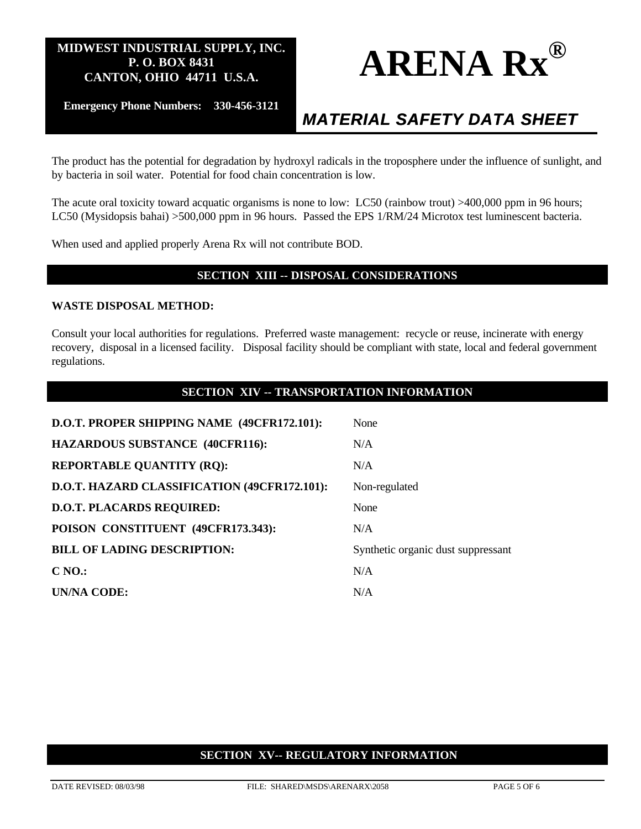

**Emergency Phone Numbers: 330-456-3121**

# *MATERIAL SAFETY DATA SHEET*

The product has the potential for degradation by hydroxyl radicals in the troposphere under the influence of sunlight, and by bacteria in soil water. Potential for food chain concentration is low.

The acute oral toxicity toward acquatic organisms is none to low: LC50 (rainbow trout) >400,000 ppm in 96 hours; LC50 (Mysidopsis bahai) >500,000 ppm in 96 hours. Passed the EPS 1/RM/24 Microtox test luminescent bacteria.

When used and applied properly Arena Rx will not contribute BOD.

### **SECTION XIII -- DISPOSAL CONSIDERATIONS**

#### **WASTE DISPOSAL METHOD:**

Consult your local authorities for regulations. Preferred waste management: recycle or reuse, incinerate with energy recovery, disposal in a licensed facility. Disposal facility should be compliant with state, local and federal government regulations.

| SECTION XIV -- TRANSPORTATION INFORMATION    |                                    |  |
|----------------------------------------------|------------------------------------|--|
| D.O.T. PROPER SHIPPING NAME (49CFR172.101):  | None                               |  |
| <b>HAZARDOUS SUBSTANCE (40CFR116):</b>       | N/A                                |  |
| <b>REPORTABLE QUANTITY (RQ):</b>             | N/A                                |  |
| D.O.T. HAZARD CLASSIFICATION (49CFR172.101): | Non-regulated                      |  |
| <b>D.O.T. PLACARDS REQUIRED:</b>             | None                               |  |
| POISON CONSTITUENT (49CFR173.343):           | N/A                                |  |
| <b>BILL OF LADING DESCRIPTION:</b>           | Synthetic organic dust suppressant |  |
| C <sub>NO.</sub>                             | N/A                                |  |
| UN/NA CODE:                                  | N/A                                |  |

# **SECTION XV-- REGULATORY INFORMATION**